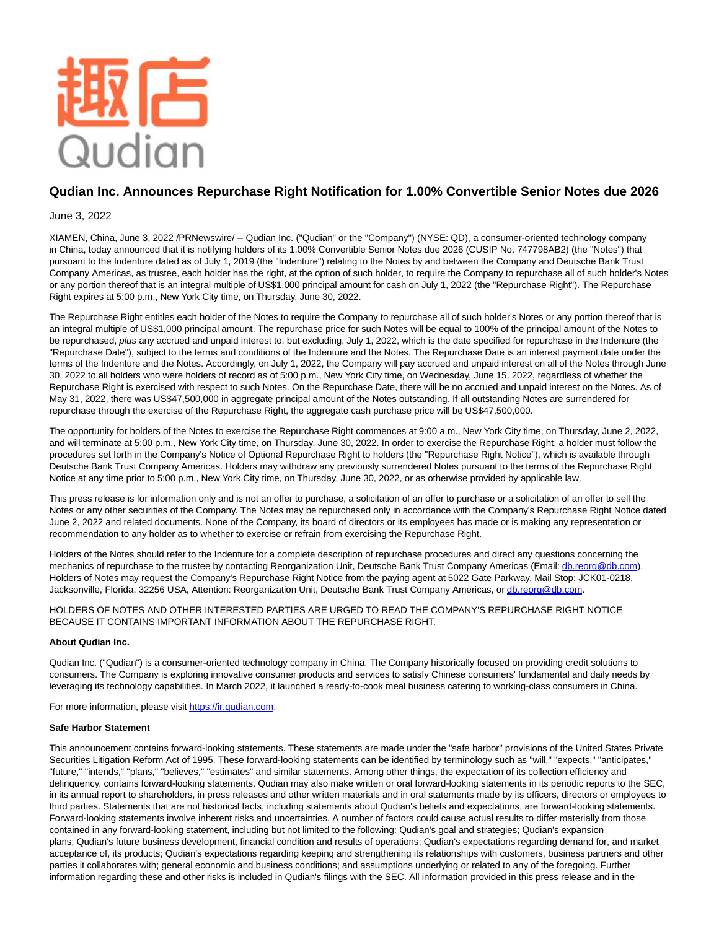

# **Qudian Inc. Announces Repurchase Right Notification for 1.00% Convertible Senior Notes due 2026**

## June 3, 2022

XIAMEN, China, June 3, 2022 /PRNewswire/ -- Qudian Inc. ("Qudian" or the "Company") (NYSE: QD), a consumer-oriented technology company in China, today announced that it is notifying holders of its 1.00% Convertible Senior Notes due 2026 (CUSIP No. 747798AB2) (the "Notes") that pursuant to the Indenture dated as of July 1, 2019 (the "Indenture") relating to the Notes by and between the Company and Deutsche Bank Trust Company Americas, as trustee, each holder has the right, at the option of such holder, to require the Company to repurchase all of such holder's Notes or any portion thereof that is an integral multiple of US\$1,000 principal amount for cash on July 1, 2022 (the "Repurchase Right"). The Repurchase Right expires at 5:00 p.m., New York City time, on Thursday, June 30, 2022.

The Repurchase Right entitles each holder of the Notes to require the Company to repurchase all of such holder's Notes or any portion thereof that is an integral multiple of US\$1,000 principal amount. The repurchase price for such Notes will be equal to 100% of the principal amount of the Notes to be repurchased, plus any accrued and unpaid interest to, but excluding, July 1, 2022, which is the date specified for repurchase in the Indenture (the "Repurchase Date"), subject to the terms and conditions of the Indenture and the Notes. The Repurchase Date is an interest payment date under the terms of the Indenture and the Notes. Accordingly, on July 1, 2022, the Company will pay accrued and unpaid interest on all of the Notes through June 30, 2022 to all holders who were holders of record as of 5:00 p.m., New York City time, on Wednesday, June 15, 2022, regardless of whether the Repurchase Right is exercised with respect to such Notes. On the Repurchase Date, there will be no accrued and unpaid interest on the Notes. As of May 31, 2022, there was US\$47,500,000 in aggregate principal amount of the Notes outstanding. If all outstanding Notes are surrendered for repurchase through the exercise of the Repurchase Right, the aggregate cash purchase price will be US\$47,500,000.

The opportunity for holders of the Notes to exercise the Repurchase Right commences at 9:00 a.m., New York City time, on Thursday, June 2, 2022, and will terminate at 5:00 p.m., New York City time, on Thursday, June 30, 2022. In order to exercise the Repurchase Right, a holder must follow the procedures set forth in the Company's Notice of Optional Repurchase Right to holders (the "Repurchase Right Notice"), which is available through Deutsche Bank Trust Company Americas. Holders may withdraw any previously surrendered Notes pursuant to the terms of the Repurchase Right Notice at any time prior to 5:00 p.m., New York City time, on Thursday, June 30, 2022, or as otherwise provided by applicable law.

This press release is for information only and is not an offer to purchase, a solicitation of an offer to purchase or a solicitation of an offer to sell the Notes or any other securities of the Company. The Notes may be repurchased only in accordance with the Company's Repurchase Right Notice dated June 2, 2022 and related documents. None of the Company, its board of directors or its employees has made or is making any representation or recommendation to any holder as to whether to exercise or refrain from exercising the Repurchase Right.

Holders of the Notes should refer to the Indenture for a complete description of repurchase procedures and direct any questions concerning the mechanics of repurchase to the trustee by contacting Reorganization Unit, Deutsche Bank Trust Company Americas (Email: [db.reorg@db.com\).](mailto:db.reorg@db.com) Holders of Notes may request the Company's Repurchase Right Notice from the paying agent at 5022 Gate Parkway, Mail Stop: JCK01-0218, Jacksonville, Florida, 32256 USA, Attention: Reorganization Unit, Deutsche Bank Trust Company Americas, or [db.reorg@db.com.](mailto:db.reorg@db.com)

HOLDERS OF NOTES AND OTHER INTERESTED PARTIES ARE URGED TO READ THE COMPANY'S REPURCHASE RIGHT NOTICE BECAUSE IT CONTAINS IMPORTANT INFORMATION ABOUT THE REPURCHASE RIGHT.

### **About Qudian Inc.**

Qudian Inc. ("Qudian") is a consumer-oriented technology company in China. The Company historically focused on providing credit solutions to consumers. The Company is exploring innovative consumer products and services to satisfy Chinese consumers' fundamental and daily needs by leveraging its technology capabilities. In March 2022, it launched a ready-to-cook meal business catering to working-class consumers in China.

For more information, please visi[t https://ir.qudian.com.](https://ir.qudian.com/)

### **Safe Harbor Statement**

This announcement contains forward-looking statements. These statements are made under the "safe harbor" provisions of the United States Private Securities Litigation Reform Act of 1995. These forward-looking statements can be identified by terminology such as "will," "expects," "anticipates," "future," "intends," "plans," "believes," "estimates" and similar statements. Among other things, the expectation of its collection efficiency and delinquency, contains forward-looking statements. Qudian may also make written or oral forward-looking statements in its periodic reports to the SEC, in its annual report to shareholders, in press releases and other written materials and in oral statements made by its officers, directors or employees to third parties. Statements that are not historical facts, including statements about Qudian's beliefs and expectations, are forward-looking statements. Forward-looking statements involve inherent risks and uncertainties. A number of factors could cause actual results to differ materially from those contained in any forward-looking statement, including but not limited to the following: Qudian's goal and strategies; Qudian's expansion plans; Qudian's future business development, financial condition and results of operations; Qudian's expectations regarding demand for, and market acceptance of, its products; Qudian's expectations regarding keeping and strengthening its relationships with customers, business partners and other parties it collaborates with; general economic and business conditions; and assumptions underlying or related to any of the foregoing. Further information regarding these and other risks is included in Qudian's filings with the SEC. All information provided in this press release and in the